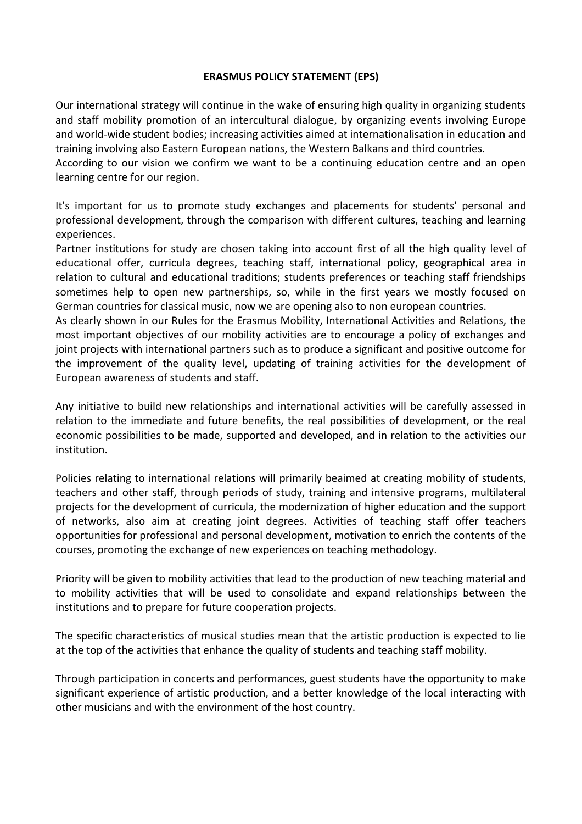## **ERASMUS POLICY STATEMENT (EPS)**

Our international strategy will continue in the wake of ensuring high quality in organizing students and staff mobility promotion of an intercultural dialogue, by organizing events involving Europe and world-wide student bodies; increasing activities aimed at internationalisation in education and training involving also Eastern European nations, the Western Balkans and third countries.

According to our vision we confirm we want to be a continuing education centre and an open learning centre for our region.

It's important for us to promote study exchanges and placements for students' personal and professional development, through the comparison with different cultures, teaching and learning experiences.

Partner institutions for study are chosen taking into account first of all the high quality level of educational offer, curricula degrees, teaching staff, international policy, geographical area in relation to cultural and educational traditions; students preferences or teaching staff friendships sometimes help to open new partnerships, so, while in the first years we mostly focused on German countries for classical music, now we are opening also to non european countries.

As clearly shown in our Rules for the Erasmus Mobility, International Activities and Relations, the most important objectives of our mobility activities are to encourage a policy of exchanges and joint projects with international partners such as to produce a significant and positive outcome for the improvement of the quality level, updating of training activities for the development of European awareness of students and staff.

Any initiative to build new relationships and international activities will be carefully assessed in relation to the immediate and future benefits, the real possibilities of development, or the real economic possibilities to be made, supported and developed, and in relation to the activities our institution.

Policies relating to international relations will primarily beaimed at creating mobility of students, teachers and other staff, through periods of study, training and intensive programs, multilateral projects for the development of curricula, the modernization of higher education and the support of networks, also aim at creating joint degrees. Activities of teaching staff offer teachers opportunities for professional and personal development, motivation to enrich the contents of the courses, promoting the exchange of new experiences on teaching methodology.

Priority will be given to mobility activities that lead to the production of new teaching material and to mobility activities that will be used to consolidate and expand relationships between the institutions and to prepare for future cooperation projects.

The specific characteristics of musical studies mean that the artistic production is expected to lie at the top of the activities that enhance the quality of students and teaching staff mobility.

Through participation in concerts and performances, guest students have the opportunity to make significant experience of artistic production, and a better knowledge of the local interacting with other musicians and with the environment of the host country.